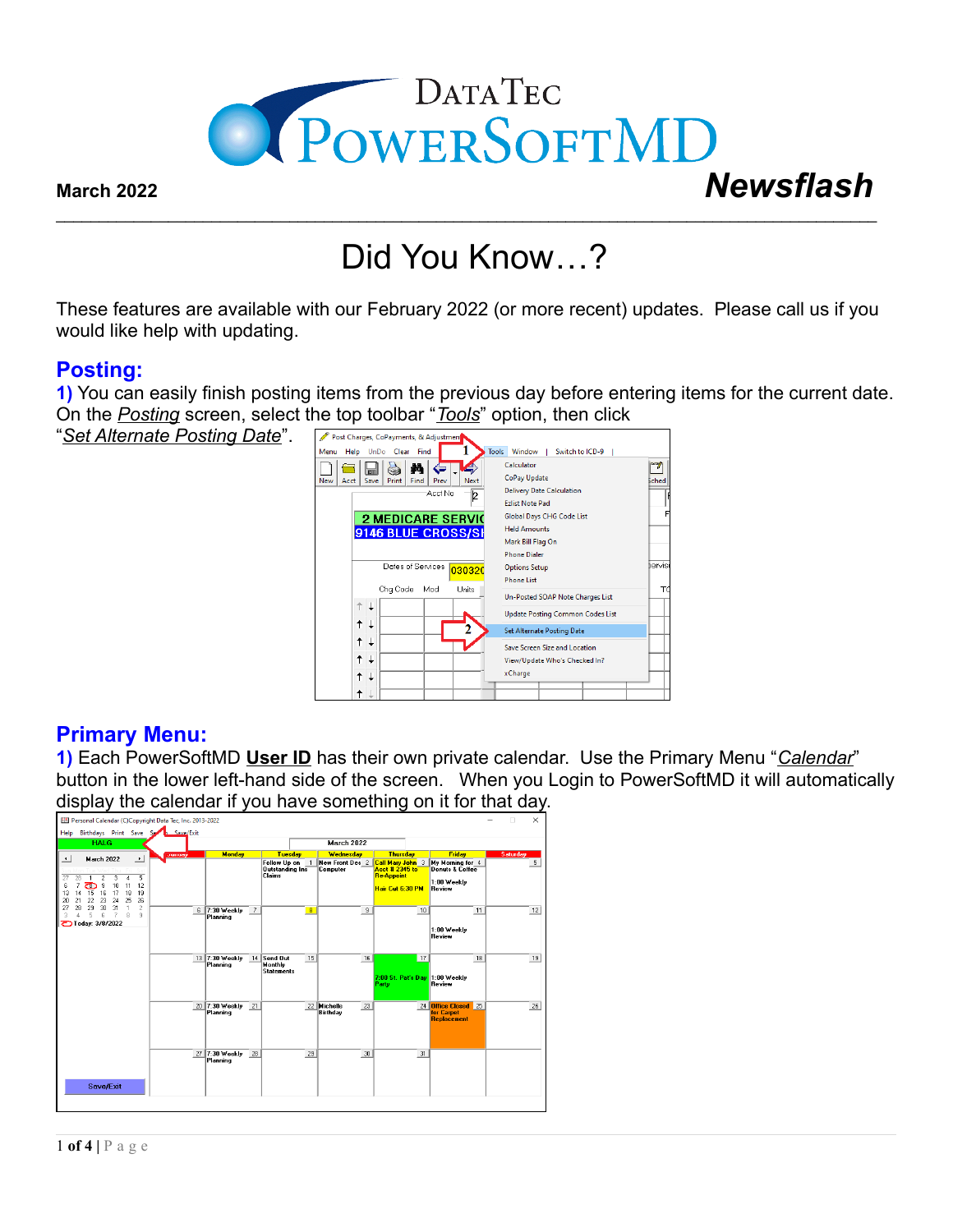

# Did You Know…?

 $\mathcal{L}_\mathcal{L} = \mathcal{L}_\mathcal{L} = \mathcal{L}_\mathcal{L} = \mathcal{L}_\mathcal{L} = \mathcal{L}_\mathcal{L} = \mathcal{L}_\mathcal{L} = \mathcal{L}_\mathcal{L} = \mathcal{L}_\mathcal{L} = \mathcal{L}_\mathcal{L} = \mathcal{L}_\mathcal{L} = \mathcal{L}_\mathcal{L} = \mathcal{L}_\mathcal{L} = \mathcal{L}_\mathcal{L} = \mathcal{L}_\mathcal{L} = \mathcal{L}_\mathcal{L} = \mathcal{L}_\mathcal{L} = \mathcal{L}_\mathcal{L}$ 

These features are available with our February 2022 (or more recent) updates. Please call us if you would like help with updating.

### **Posting:**

**1)** You can easily finish posting items from the previous day before entering items for the current date. On the *Posting* screen, select the top toolbar "*Tools*" option, then click

"*Set Alternate Posting Date*".



## **Primary Menu:**

**1)** Each PowerSoftMD **User ID** has their own private calendar. Use the Primary Menu "*Calendar*" button in the lower left-hand side of the screen. When you Login to PowerSoftMD it will automatically display the calendar if you have something on it for that day.

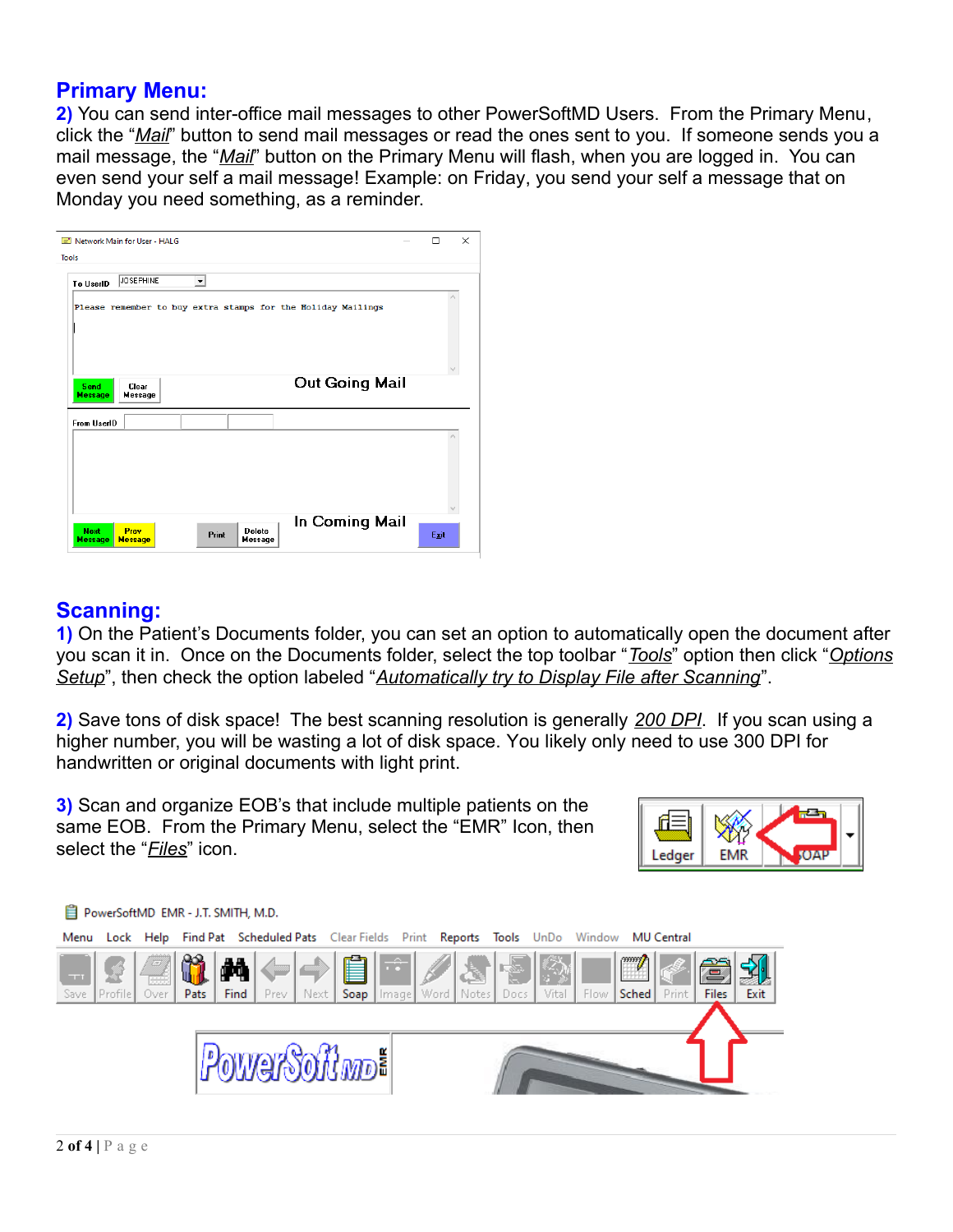#### **Primary Menu:**

**2)** You can send inter-office mail messages to other PowerSoftMD Users. From the Primary Menu, click the "*Mail*" button to send mail messages or read the ones sent to you. If someone sends you a mail message, the "*Mail*" button on the Primary Menu will flash, when you are logged in. You can even send your self a mail message! Example: on Friday, you send your self a message that on Monday you need something, as a reminder.

| Network Main for User - HALG                                                                                          | п    | $\times$ |  |
|-----------------------------------------------------------------------------------------------------------------------|------|----------|--|
| <b>Tools</b>                                                                                                          |      |          |  |
| <b>JOSEPHINE</b><br>$\overline{\phantom{a}}$<br>To UserID                                                             |      |          |  |
| Please remember to buy extra stamps for the Holiday Mailings                                                          |      |          |  |
|                                                                                                                       |      |          |  |
|                                                                                                                       |      |          |  |
|                                                                                                                       |      |          |  |
| <b>Out Going Mail</b><br>Send<br>Clear<br><b>Message</b><br><b>Message</b>                                            |      |          |  |
| <b>From UserID</b>                                                                                                    |      |          |  |
|                                                                                                                       |      |          |  |
|                                                                                                                       |      |          |  |
|                                                                                                                       |      |          |  |
|                                                                                                                       |      |          |  |
| In Coming Mail<br><b>Next</b><br>Prev<br><b>Delete</b><br>Print<br><b>Message</b><br><b>Message</b><br><b>Message</b> | Egit |          |  |

## **Scanning:**

**1)** On the Patient's Documents folder, you can set an option to automatically open the document after you scan it in. Once on the Documents folder, select the top toolbar "*Tools*" option then click "*Options Setup*", then check the option labeled "*Automatically try to Display File after Scanning*".

**2)** Save tons of disk space! The best scanning resolution is generally *200 DPI*. If you scan using a higher number, you will be wasting a lot of disk space. You likely only need to use 300 DPI for handwritten or original documents with light print.

**3)** Scan and organize EOB's that include multiple patients on the same EOB. From the Primary Menu, select the "EMR" Icon, then select the "*Files*" icon.



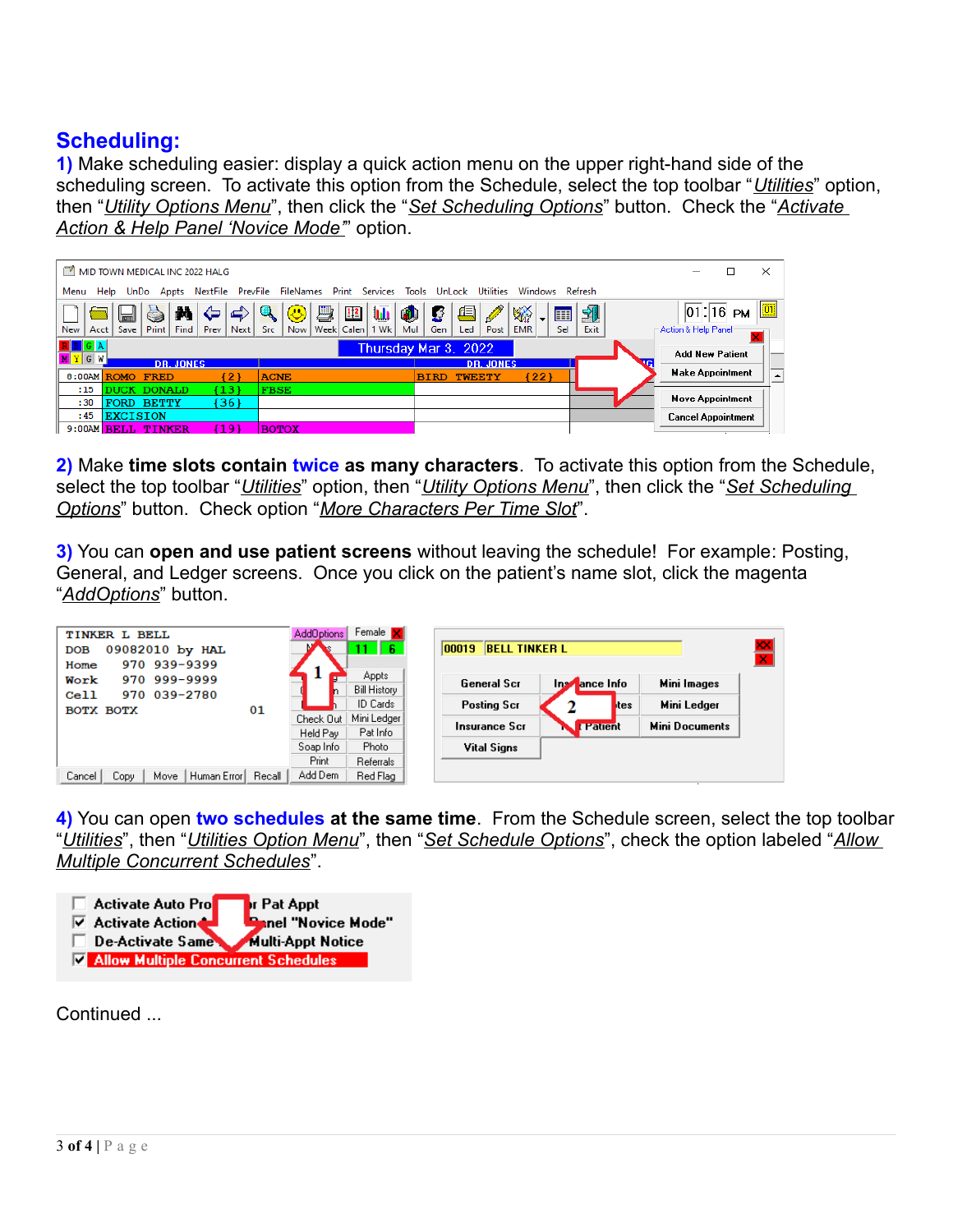# **Scheduling:**

**1)** Make scheduling easier: display a quick action menu on the upper right-hand side of the scheduling screen. To activate this option from the Schedule, select the top toolbar "*Utilities*" option, then "*Utility Options Menu*", then click the "*Set Scheduling Options*" button. Check the "*Activate Action & Help Panel 'Novice Mode'*" option.

| $\sim$<br>MID TOWN MEDICAL INC 2022 HALG                               |                                                                                                         |                                                                                                                                                                                                                                                                                                     |           | ×<br>□                                      |  |
|------------------------------------------------------------------------|---------------------------------------------------------------------------------------------------------|-----------------------------------------------------------------------------------------------------------------------------------------------------------------------------------------------------------------------------------------------------------------------------------------------------|-----------|---------------------------------------------|--|
| NextFile<br>Help<br>Menu<br>UnDo<br>Appts                              | PrevFile FileNames                                                                                      | Print Services Tools UnLock Utilities<br>Windows Refresh                                                                                                                                                                                                                                            |           |                                             |  |
| М<br>⇦<br>Print<br>Save  <br>Find  <br>Next  <br>Acct  <br>New<br>Prev | hb<br>$\bullet$<br>璺<br>$\bm{\circ}$<br>$\frac{1}{2}$<br>◍<br>Week Calen<br>Now<br>$1$ Wk<br>Mul<br>Src | 再<br><b>Contract Contract Contract Contract Contract Contract Contract Contract Contract Contract Contract Contract Contract Contract Contract Contract Contract Contract Contract Contract Contract Contract Contract Contract Contr</b><br>谿<br>垂<br>囲<br><b>EMR</b><br>Led<br>Sel<br>Gen<br>Post | 刋<br>Exit | $ 01 $ : 16 PM<br>Action & Help Panel-      |  |
| ×<br>$R$ $B$ $G$ $A$<br>Thursday Mar 3, 2022<br><b>Add New Patient</b> |                                                                                                         |                                                                                                                                                                                                                                                                                                     |           |                                             |  |
| $M$ $Y$ $G$ $W$<br><b>DR. JONES</b>                                    |                                                                                                         | <b>DR. JONES</b>                                                                                                                                                                                                                                                                                    |           |                                             |  |
| [2]<br>8:00AM ROMO FRED                                                | <b>ACNE</b>                                                                                             | (22)<br><b>TWEETY</b><br><b>BIRD</b>                                                                                                                                                                                                                                                                |           | <b>Make Appointment</b><br>$\blacktriangle$ |  |
| (13)<br>:15<br><b>DUCK DONALD</b>                                      | <b>FBSE</b>                                                                                             |                                                                                                                                                                                                                                                                                                     |           |                                             |  |
| [36]<br>:30<br><b>FORD BETTY</b>                                       |                                                                                                         |                                                                                                                                                                                                                                                                                                     |           | <b>Move Appointment</b>                     |  |
| <b>EXCISION</b><br>:45                                                 |                                                                                                         |                                                                                                                                                                                                                                                                                                     |           | <b>Cancel Appointment</b>                   |  |
| 19<br>$9:00$ AM $BELL$<br><b>TINKER</b>                                | <b>BOTOX</b>                                                                                            |                                                                                                                                                                                                                                                                                                     |           |                                             |  |

**2)** Make **time slots contain twice as many characters**. To activate this option from the Schedule, select the top toolbar "*Utilities*" option, then "*Utility Options Menu*", then click the "*Set Scheduling Options*" button. Check option "*More Characters Per Time Slot*".

**3)** You can **open and use patient screens** without leaving the schedule! For example: Posting, General, and Ledger screens. Once you click on the patient's name slot, click the magenta "*AddOptions*" button.

| TINKER L BELL<br>09082010 by HAL<br><b>DOB</b><br>970 939-9399<br>Home |        | AddOptions            | Female <b>N</b><br>6                | 00019 BELL TINKER L                                      | $\mathsf{x}$<br>× |
|------------------------------------------------------------------------|--------|-----------------------|-------------------------------------|----------------------------------------------------------|-------------------|
| 970 999-9999<br>Work<br>970 039-2780<br>$_{\rm cell1}$                 |        |                       | <b>Appts</b><br><b>Bill History</b> | Inserance Info<br>Mini Images<br>General Scr             |                   |
| BOTX BOTX                                                              | 01     |                       | ID Cards                            | <b>Posting Scr</b><br>Mini Ledger<br><b>Ites</b>         |                   |
|                                                                        |        | Check Out<br>Held Pay | Mini Ledger<br>Pat Info             | <b>Mini Documents</b><br>Insurance Scr<br><b>Patient</b> |                   |
|                                                                        |        | Soap Info             | Photo                               | <b>Vital Signs</b>                                       |                   |
|                                                                        |        | Print                 | Referrals                           |                                                          |                   |
| Cancel<br>Copy<br>Move   Human Error                                   | Recall | Add Dem               | Red Flag                            |                                                          |                   |

**4)** You can open **two schedules at the same time**. From the Schedule screen, select the top toolbar "*Utilities*", then "*Utilities Option Menu*", then "*Set Schedule Options*", check the option labeled "*Allow Multiple Concurrent Schedules*".



Continued ...